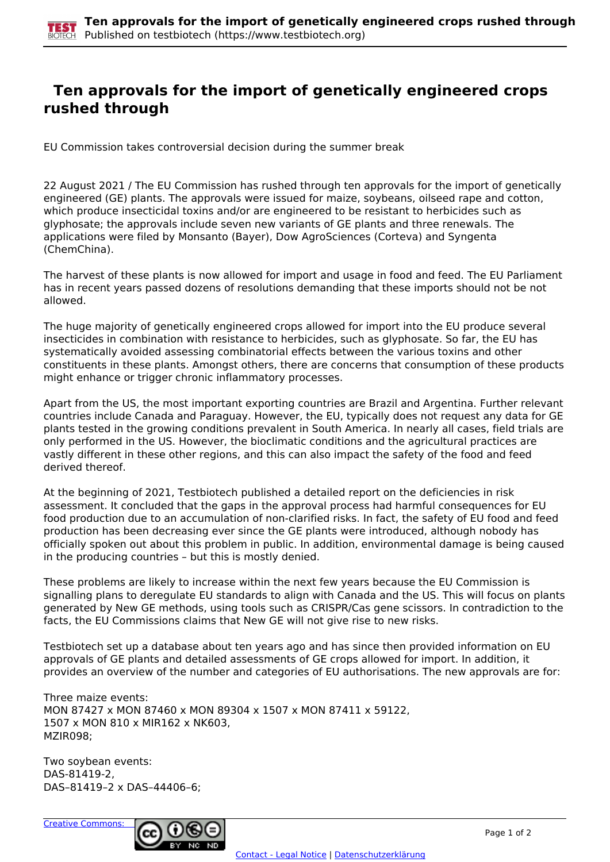## **Ten approvals for the import of genetically engineered crops rushed through**

EU Commission takes controversial decision during the summer break

22 August 2021 / The EU Commission has rushed through ten approvals for the import of genetically engineered (GE) plants. The approvals were issued for maize, soybeans, oilseed rape and cotton, which produce insecticidal toxins and/or are engineered to be resistant to herbicides such as glyphosate; the approvals include seven new variants of GE plants and three renewals. The applications were filed by Monsanto (Bayer), Dow AgroSciences (Corteva) and Syngenta (ChemChina).

The harvest of these plants is now allowed for import and usage in food and feed. The EU Parliament has in recent years passed dozens of resolutions demanding that these imports should not be not allowed.

The huge majority of genetically engineered crops allowed for import into the EU produce several insecticides in combination with resistance to herbicides, such as glyphosate. So far, the EU has systematically avoided assessing combinatorial effects between the various toxins and other constituents in these plants. Amongst others, there are concerns that consumption of these products might enhance or trigger chronic inflammatory processes.

Apart from the US, the most important exporting countries are Brazil and Argentina. Further relevant countries include Canada and Paraguay. However, the EU, typically does not request any data for GE plants tested in the growing conditions prevalent in South America. In nearly all cases, field trials are only performed in the US. However, the bioclimatic conditions and the agricultural practices are vastly different in these other regions, and this can also impact the safety of the food and feed derived thereof.

At the beginning of 2021, Testbiotech published a detailed report on the deficiencies in risk assessment. It concluded that the gaps in the approval process had harmful consequences for EU food production due to an accumulation of non-clarified risks. In fact, the safety of EU food and feed production has been decreasing ever since the GE plants were introduced, although nobody has officially spoken out about this problem in public. In addition, environmental damage is being caused in the producing countries – but this is mostly denied.

These problems are likely to increase within the next few years because the EU Commission is signalling plans to deregulate EU standards to align with Canada and the US. This will focus on plants generated by New GE methods, using tools such as CRISPR/Cas gene scissors. In contradiction to the facts, the EU Commissions claims that New GE will not give rise to new risks.

Testbiotech set up a database about ten years ago and has since then provided information on EU approvals of GE plants and detailed assessments of GE crops allowed for import. In addition, it provides an overview of the number and categories of EU authorisations. The new approvals are for:

Three maize events: MON 87427 x MON 87460 x MON 89304 x 1507 x MON 87411 x 59122, 1507 x MON 810 x MIR162 x NK603, MZIR098;

Two soybean events: DAS-81419-2, DAS–81419–2 x DAS–44406–6;